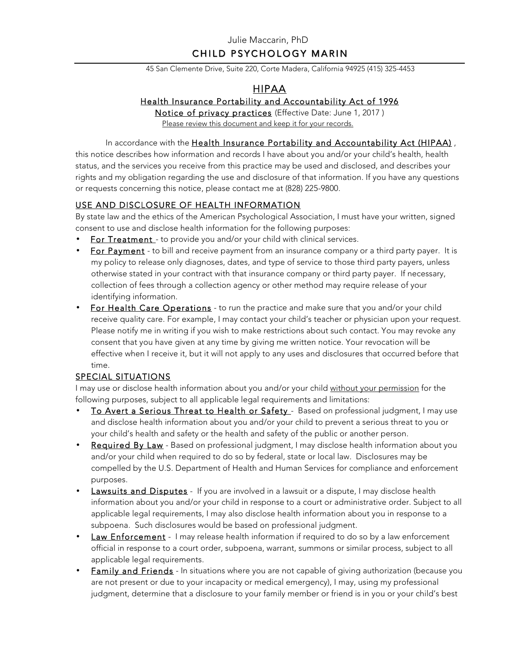## Julie Maccarin, PhD CHILD PSYCHOLOGY MARIN

45 San Clemente Drive, Suite 220, Corte Madera, California 94925 (415) 325-4453

# HIPAA

### Health Insurance Portability and Accountability Act of 1996

Notice of privacy practices (Effective Date: June 1, 2017 ) Please review this document and keep it for your records.

In accordance with the Health Insurance Portability and Accountability Act (HIPAA), this notice describes how information and records I have about you and/or your child's health, health status, and the services you receive from this practice may be used and disclosed, and describes your rights and my obligation regarding the use and disclosure of that information. If you have any questions or requests concerning this notice, please contact me at (828) 225-9800.

### USE AND DISCLOSURE OF HEALTH INFORMATION

By state law and the ethics of the American Psychological Association, I must have your written, signed consent to use and disclose health information for the following purposes:

- For Treatment to provide you and/or your child with clinical services.
- For Payment to bill and receive payment from an insurance company or a third party payer. It is my policy to release only diagnoses, dates, and type of service to those third party payers, unless otherwise stated in your contract with that insurance company or third party payer. If necessary, collection of fees through a collection agency or other method may require release of your identifying information.
- For Health Care Operations to run the practice and make sure that you and/or your child receive quality care. For example, I may contact your child's teacher or physician upon your request. Please notify me in writing if you wish to make restrictions about such contact. You may revoke any consent that you have given at any time by giving me written notice. Your revocation will be effective when I receive it, but it will not apply to any uses and disclosures that occurred before that time.

### SPECIAL SITUATIONS

I may use or disclose health information about you and/or your child without your permission for the following purposes, subject to all applicable legal requirements and limitations:

- To Avert a Serious Threat to Health or Safety Based on professional judgment, I may use and disclose health information about you and/or your child to prevent a serious threat to you or your child's health and safety or the health and safety of the public or another person.
- Required By Law Based on professional judgment, I may disclose health information about you and/or your child when required to do so by federal, state or local law. Disclosures may be compelled by the U.S. Department of Health and Human Services for compliance and enforcement purposes.
- **Lawsuits and Disputes** If you are involved in a lawsuit or a dispute, I may disclose health information about you and/or your child in response to a court or administrative order. Subject to all applicable legal requirements, I may also disclose health information about you in response to a subpoena. Such disclosures would be based on professional judgment.
- **Law Enforcement** I may release health information if required to do so by a law enforcement official in response to a court order, subpoena, warrant, summons or similar process, subject to all applicable legal requirements.
- Family and Friends In situations where you are not capable of giving authorization (because you are not present or due to your incapacity or medical emergency), I may, using my professional judgment, determine that a disclosure to your family member or friend is in you or your child's best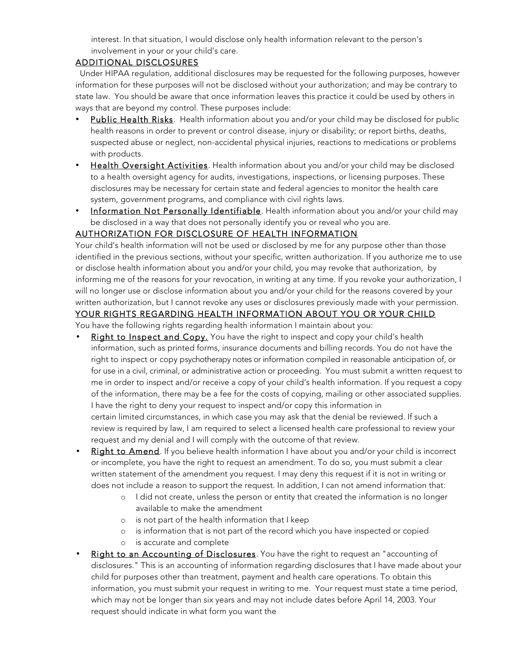interest. In that situation, I would disclose only health information relevant to the person's involvement in your or your child's care.

### ADDITIONAL DISCLOSURES

 Under HIPAA regulation, additional disclosures may be requested for the following purposes, however information for these purposes will not be disclosed without your authorization; and may be contrary to state law. You should be aware that once information leaves this practice it could be used by others in ways that are beyond my control. These purposes include:

- Public Health Risks. Health information about you and/or your child may be disclosed for public health reasons in order to prevent or control disease, injury or disability; or report births, deaths, suspected abuse or neglect, non-accidental physical injuries, reactions to medications or problems with products.
- Health Oversight Activities. Health information about you and/or your child may be disclosed to a health oversight agency for audits, investigations, inspections, or licensing purposes. These disclosures may be necessary for certain state and federal agencies to monitor the health care system, government programs, and compliance with civil rights laws.
- Information Not Personally Identifiable. Health information about you and/or your child may be disclosed in a way that does not personally identify you or reveal who you are.

### AUTHORIZATION FOR DISCLOSURE OF HEALTH INFORMATION

Your child's health information will not be used or disclosed by me for any purpose other than those identified in the previous sections, without your specific, written authorization. If you authorize me to use or disclose health information about you and/or your child, you may revoke that authorization, by informing me of the reasons for your revocation, in writing at any time. If you revoke your authorization, I will no longer use or disclose information about you and/or your child for the reasons covered by your written authorization, but I cannot revoke any uses or disclosures previously made with your permission. YOUR RIGHTS REGARDING HEALTH INFORMATION ABOUT YOU OR YOUR CHILD

You have the following rights regarding health information I maintain about you:

- Right to Inspect and Copy. You have the right to inspect and copy your child's health information, such as printed forms, insurance documents and billing records. You do not have the right to inspect or copy psychotherapy notes or information compiled in reasonable anticipation of, or for use in a civil, criminal, or administrative action or proceeding. You must submit a written request to me in order to inspect and/or receive a copy of your child's health information. If you request a copy of the information, there may be a fee for the costs of copying, mailing or other associated supplies. I have the right to deny your request to inspect and/or copy this information in certain limited circumstances, in which case you may ask that the denial be reviewed. If such a review is required by law, I am required to select a licensed health care professional to review your request and my denial and I will comply with the outcome of that review.
- Right to Amend. If you believe health information I have about you and/or your child is incorrect or incomplete, you have the right to request an amendment. To do so, you must submit a clear written statement of the amendment you request. I may deny this request if it is not in writing or does not include a reason to support the request. In addition, I can not amend information that:
	- o I did not create, unless the person or entity that created the information is no longer available to make the amendment
	- o is not part of the health information that I keep
	- o is information that is not part of the record which you have inspected or copied
	- o is accurate and complete
- Right to an Accounting of Disclosures. You have the right to request an "accounting of disclosures." This is an accounting of information regarding disclosures that I have made about your child for purposes other than treatment, payment and health care operations. To obtain this information, you must submit your request in writing to me. Your request must state a time period, which may not be longer than six years and may not include dates before April 14, 2003. Your request should indicate in what form you want the